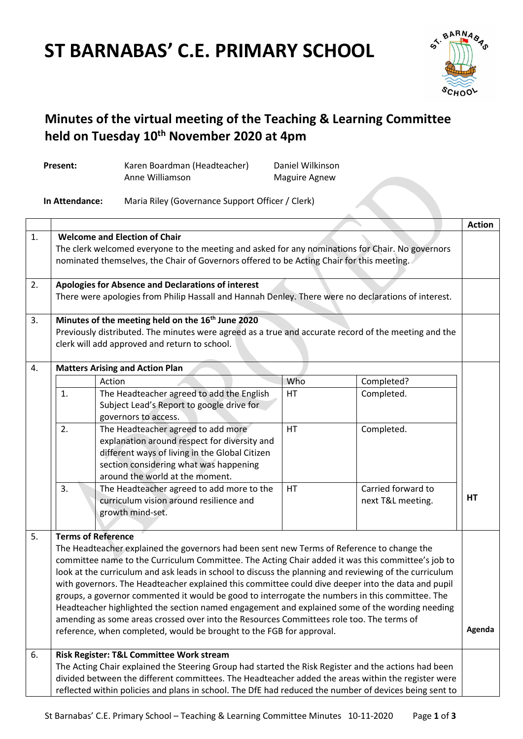# **ST BARNABAS' C.E. PRIMARY SCHOOL**

Present: Karen Boardman (Headteacher)



# **Minutes of the virtual meeting of the Teaching & Learning Committee held on Tuesday 10th November 2020 at 4pm**

Daniel Wilkinson

|    |                                                                                                                                                                                                                                                                                                                                                                                                                                                                                                                                                                                                                                                                                                                                                                                                                       | Anne Williamson                                                                                                                                                                                                   | <b>Maguire Agnew</b> |                                         |               |  |  |  |
|----|-----------------------------------------------------------------------------------------------------------------------------------------------------------------------------------------------------------------------------------------------------------------------------------------------------------------------------------------------------------------------------------------------------------------------------------------------------------------------------------------------------------------------------------------------------------------------------------------------------------------------------------------------------------------------------------------------------------------------------------------------------------------------------------------------------------------------|-------------------------------------------------------------------------------------------------------------------------------------------------------------------------------------------------------------------|----------------------|-----------------------------------------|---------------|--|--|--|
|    | In Attendance:                                                                                                                                                                                                                                                                                                                                                                                                                                                                                                                                                                                                                                                                                                                                                                                                        | Maria Riley (Governance Support Officer / Clerk)                                                                                                                                                                  |                      |                                         |               |  |  |  |
|    |                                                                                                                                                                                                                                                                                                                                                                                                                                                                                                                                                                                                                                                                                                                                                                                                                       |                                                                                                                                                                                                                   |                      |                                         | <b>Action</b> |  |  |  |
| 1. | <b>Welcome and Election of Chair</b><br>The clerk welcomed everyone to the meeting and asked for any nominations for Chair. No governors<br>nominated themselves, the Chair of Governors offered to be Acting Chair for this meeting.                                                                                                                                                                                                                                                                                                                                                                                                                                                                                                                                                                                 |                                                                                                                                                                                                                   |                      |                                         |               |  |  |  |
| 2. |                                                                                                                                                                                                                                                                                                                                                                                                                                                                                                                                                                                                                                                                                                                                                                                                                       | <b>Apologies for Absence and Declarations of interest</b><br>There were apologies from Philip Hassall and Hannah Denley. There were no declarations of interest.                                                  |                      |                                         |               |  |  |  |
| 3. | Minutes of the meeting held on the 16 <sup>th</sup> June 2020<br>Previously distributed. The minutes were agreed as a true and accurate record of the meeting and the<br>clerk will add approved and return to school.                                                                                                                                                                                                                                                                                                                                                                                                                                                                                                                                                                                                |                                                                                                                                                                                                                   |                      |                                         |               |  |  |  |
| 4. |                                                                                                                                                                                                                                                                                                                                                                                                                                                                                                                                                                                                                                                                                                                                                                                                                       | <b>Matters Arising and Action Plan</b>                                                                                                                                                                            |                      |                                         |               |  |  |  |
|    |                                                                                                                                                                                                                                                                                                                                                                                                                                                                                                                                                                                                                                                                                                                                                                                                                       | Action                                                                                                                                                                                                            | Who                  | Completed?                              |               |  |  |  |
|    | 1.                                                                                                                                                                                                                                                                                                                                                                                                                                                                                                                                                                                                                                                                                                                                                                                                                    | The Headteacher agreed to add the English<br>Subject Lead's Report to google drive for<br>governors to access.                                                                                                    | HT                   | Completed.                              |               |  |  |  |
|    | 2.                                                                                                                                                                                                                                                                                                                                                                                                                                                                                                                                                                                                                                                                                                                                                                                                                    | The Headteacher agreed to add more<br>explanation around respect for diversity and<br>different ways of living in the Global Citizen<br>section considering what was happening<br>around the world at the moment. | HT                   | Completed.                              |               |  |  |  |
|    | 3.                                                                                                                                                                                                                                                                                                                                                                                                                                                                                                                                                                                                                                                                                                                                                                                                                    | The Headteacher agreed to add more to the<br>curriculum vision around resilience and<br>growth mind-set.                                                                                                          | HT                   | Carried forward to<br>next T&L meeting. | HT            |  |  |  |
| 5. | <b>Terms of Reference</b><br>The Headteacher explained the governors had been sent new Terms of Reference to change the<br>committee name to the Curriculum Committee. The Acting Chair added it was this committee's job to<br>look at the curriculum and ask leads in school to discuss the planning and reviewing of the curriculum<br>with governors. The Headteacher explained this committee could dive deeper into the data and pupil<br>groups, a governor commented it would be good to interrogate the numbers in this committee. The<br>Headteacher highlighted the section named engagement and explained some of the wording needing<br>amending as some areas crossed over into the Resources Committees role too. The terms of<br>reference, when completed, would be brought to the FGB for approval. |                                                                                                                                                                                                                   |                      |                                         |               |  |  |  |
| 6. | Risk Register: T&L Committee Work stream<br>The Acting Chair explained the Steering Group had started the Risk Register and the actions had been<br>divided between the different committees. The Headteacher added the areas within the register were<br>reflected within policies and plans in school. The DfE had reduced the number of devices being sent to                                                                                                                                                                                                                                                                                                                                                                                                                                                      |                                                                                                                                                                                                                   |                      |                                         |               |  |  |  |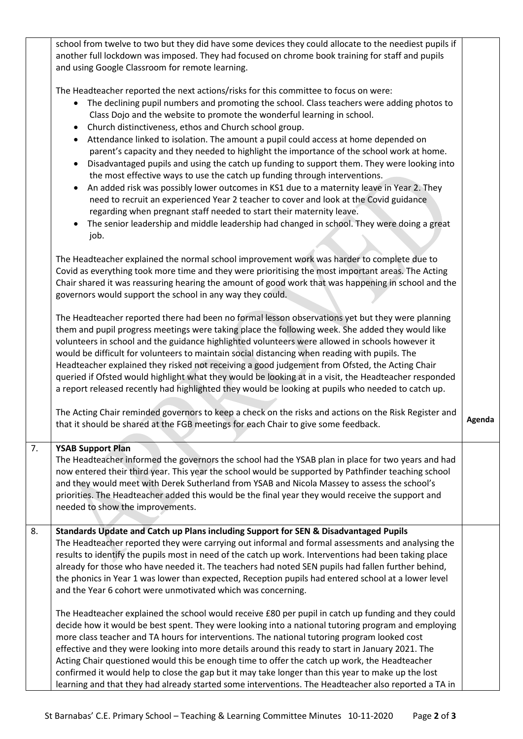school from twelve to two but they did have some devices they could allocate to the neediest pupils if another full lockdown was imposed. They had focused on chrome book training for staff and pupils and using Google Classroom for remote learning. The Headteacher reported the next actions/risks for this committee to focus on were: • The declining pupil numbers and promoting the school. Class teachers were adding photos to Class Dojo and the website to promote the wonderful learning in school. • Church distinctiveness, ethos and Church school group. Attendance linked to isolation. The amount a pupil could access at home depended on parent's capacity and they needed to highlight the importance of the school work at home. Disadvantaged pupils and using the catch up funding to support them. They were looking into the most effective ways to use the catch up funding through interventions. An added risk was possibly lower outcomes in KS1 due to a maternity leave in Year 2. They need to recruit an experienced Year 2 teacher to cover and look at the Covid guidance regarding when pregnant staff needed to start their maternity leave. The senior leadership and middle leadership had changed in school. They were doing a great job. The Headteacher explained the normal school improvement work was harder to complete due to Covid as everything took more time and they were prioritising the most important areas. The Acting Chair shared it was reassuring hearing the amount of good work that was happening in school and the governors would support the school in any way they could. The Headteacher reported there had been no formal lesson observations yet but they were planning them and pupil progress meetings were taking place the following week. She added they would like volunteers in school and the guidance highlighted volunteers were allowed in schools however it would be difficult for volunteers to maintain social distancing when reading with pupils. The Headteacher explained they risked not receiving a good judgement from Ofsted, the Acting Chair queried if Ofsted would highlight what they would be looking at in a visit, the Headteacher responded a report released recently had highlighted they would be looking at pupils who needed to catch up. The Acting Chair reminded governors to keep a check on the risks and actions on the Risk Register and that it should be shared at the FGB meetings for each Chair to give some feedback. 7. **YSAB Support Plan** The Headteacher informed the governors the school had the YSAB plan in place for two years and had now entered their third year. This year the school would be supported by Pathfinder teaching school and they would meet with Derek Sutherland from YSAB and Nicola Massey to assess the school's priorities. The Headteacher added this would be the final year they would receive the support and needed to show the improvements. 8. **Standards Update and Catch up Plans including Support for SEN & Disadvantaged Pupils** The Headteacher reported they were carrying out informal and formal assessments and analysing the results to identify the pupils most in need of the catch up work. Interventions had been taking place already for those who have needed it. The teachers had noted SEN pupils had fallen further behind, the phonics in Year 1 was lower than expected, Reception pupils had entered school at a lower level and the Year 6 cohort were unmotivated which was concerning. The Headteacher explained the school would receive £80 per pupil in catch up funding and they could decide how it would be best spent. They were looking into a national tutoring program and employing more class teacher and TA hours for interventions. The national tutoring program looked cost effective and they were looking into more details around this ready to start in January 2021. The Acting Chair questioned would this be enough time to offer the catch up work, the Headteacher confirmed it would help to close the gap but it may take longer than this year to make up the lost learning and that they had already started some interventions. The Headteacher also reported a TA in